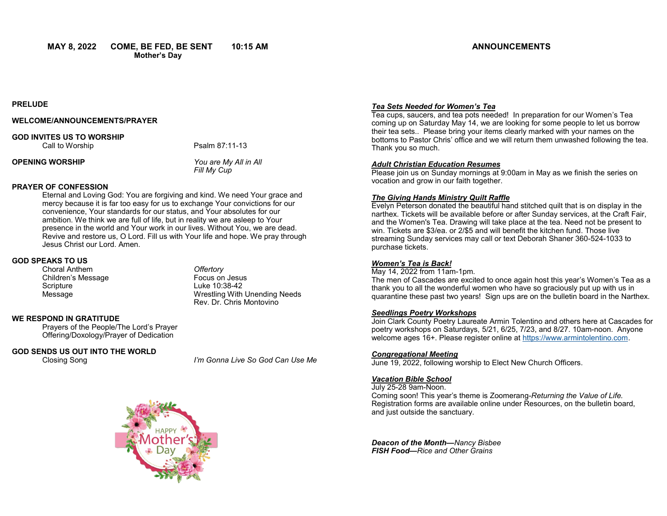**MAY 8, 2022 COME, BE FED, BE SENT 10:15 AM**

**PRELUDE** 

### **WELCOME/ANNOUNCEMENTS/PRAYER**

# **GOD INVITES US TO WORSHIP**

Call to Worship **Psalm 87:11-13** 

**OPENING WORSHIP** *You are My All in All*

*Fill My Cup*

### **PRAYER OF CONFESSION**

Eternal and Loving God: You are forgiving and kind. We need Your grace and mercy because it is far too easy for us to exchange Your convictions for our convenience, Your standards for our status, and Your absolutes for our ambition. We think we are full of life, but in reality we are asleep to Your presence in the world and Your work in our lives. Without You, we are dead. Revive and restore us, O Lord. Fill us with Your life and hope. We pray through Jesus Christ our Lord. Amen.

## **GOD SPEAKS TO US**

Choral Anthem *Offertory* Children's Message **Focus** on Jesus Scripture Luke 10:38-42

Message Wrestling With Unending Needs Rev. Dr. Chris Montovino

## **WE RESPOND IN GRATITUDE**

Prayers of the People/The Lord's Prayer Offering/Doxology/Prayer of Dedication

**GOD SENDS US OUT INTO THE WORLD**

Closing Song *I'm Gonna Live So God Can Use Me*

## *Tea Sets Needed for Women's Tea* Tea cups, saucers, and tea pots needed! In preparation for our Women's Tea

coming up on Saturday May 14, we are looking for some people to let us borrow their tea sets.. Please bring your items clearly marked with your names on the bottoms to Pastor Chris' office and we will return them unwashed following the tea. Thank you so much.

## *Adult Christian Education Resumes*

Please join us on Sunday mornings at 9:00am in May as we finish the series on vocation and grow in our faith together.

### *The Giving Hands Ministry Quilt Raffle*

Evelyn Peterson donated the beautiful hand stitched quilt that is on display in the narthex. Tickets will be available before or after Sunday services, at the Craft Fair, and the Women's Tea. Drawing will take place at the tea. Need not be present to win. Tickets are \$3/ea. or 2/\$5 and will benefit the kitchen fund. Those live streaming Sunday services may call or text Deborah Shaner 360-524-1033 to purchase tickets.

## *Women's Tea is Back!*

May 14, 2022 from 11am-1pm. The men of Cascades are excited to once again host this year's Women's Tea as a thank you to all the wonderful women who have so graciously put up with us in quarantine these past two years! Sign ups are on the bulletin board in the Narthex.

### *Seedlings Poetry Workshops*

Join Clark County Poetry Laureate Armin Tolentino and others here at Cascades for poetry workshops on Saturdays, 5/21, 6/25, 7/23, and 8/27. 10am-noon. Anyone welcome ages 16+. Please register online at [https://www.armintolentino.com.](https://www.armintolentino.com)

### *Congregational Meeting*

June 19, 2022, following worship to Elect New Church Officers.

## *Vacation Bible School*

July 25-28 9am-Noon.

Coming soon! This year's theme is Zoomerang-*Returning the Value of Life.*  Registration forms are available online under Resources, on the bulletin board, and just outside the sanctuary.

*Deacon of the Month—Nancy Bisbee FISH Food—Rice and Other Grains*